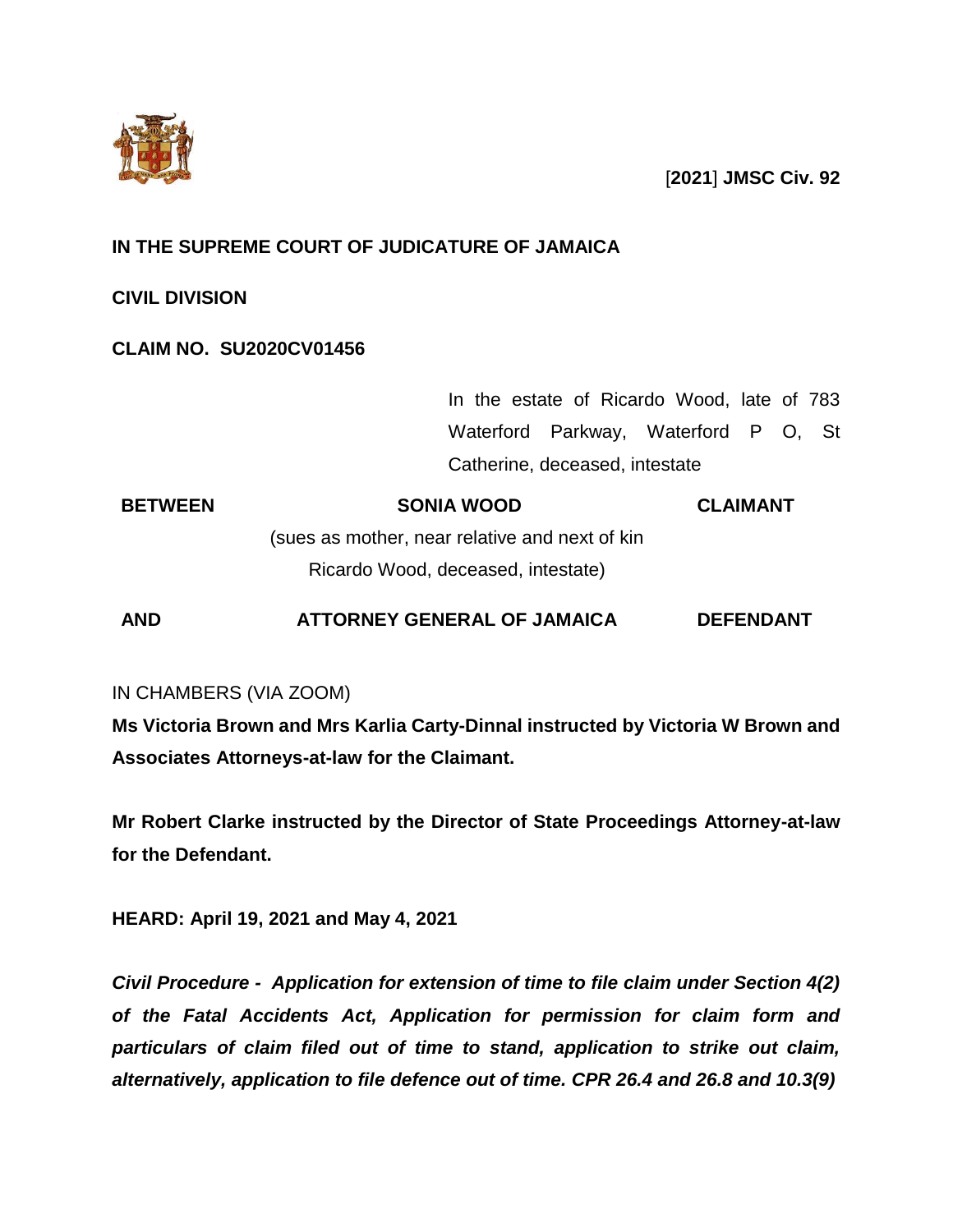

[**2021**] **JMSC Civ. 92**

# **IN THE SUPREME COURT OF JUDICATURE OF JAMAICA**

**CIVIL DIVISION**

# **CLAIM NO. SU2020CV01456**

In the estate of Ricardo Wood, late of 783 Waterford Parkway, Waterford P O, St Catherine, deceased, intestate

**BETWEEN SONIA WOOD** (sues as mother, near relative and next of kin Ricardo Wood, deceased, intestate) **CLAIMANT**

**AND ATTORNEY GENERAL OF JAMAICA DEFENDANT**

# IN CHAMBERS (VIA ZOOM)

**Ms Victoria Brown and Mrs Karlia Carty-Dinnal instructed by Victoria W Brown and Associates Attorneys-at-law for the Claimant.**

**Mr Robert Clarke instructed by the Director of State Proceedings Attorney-at-law for the Defendant.**

**HEARD: April 19, 2021 and May 4, 2021**

*Civil Procedure - Application for extension of time to file claim under Section 4(2) of the Fatal Accidents Act, Application for permission for claim form and particulars of claim filed out of time to stand, application to strike out claim, alternatively, application to file defence out of time. CPR 26.4 and 26.8 and 10.3(9)*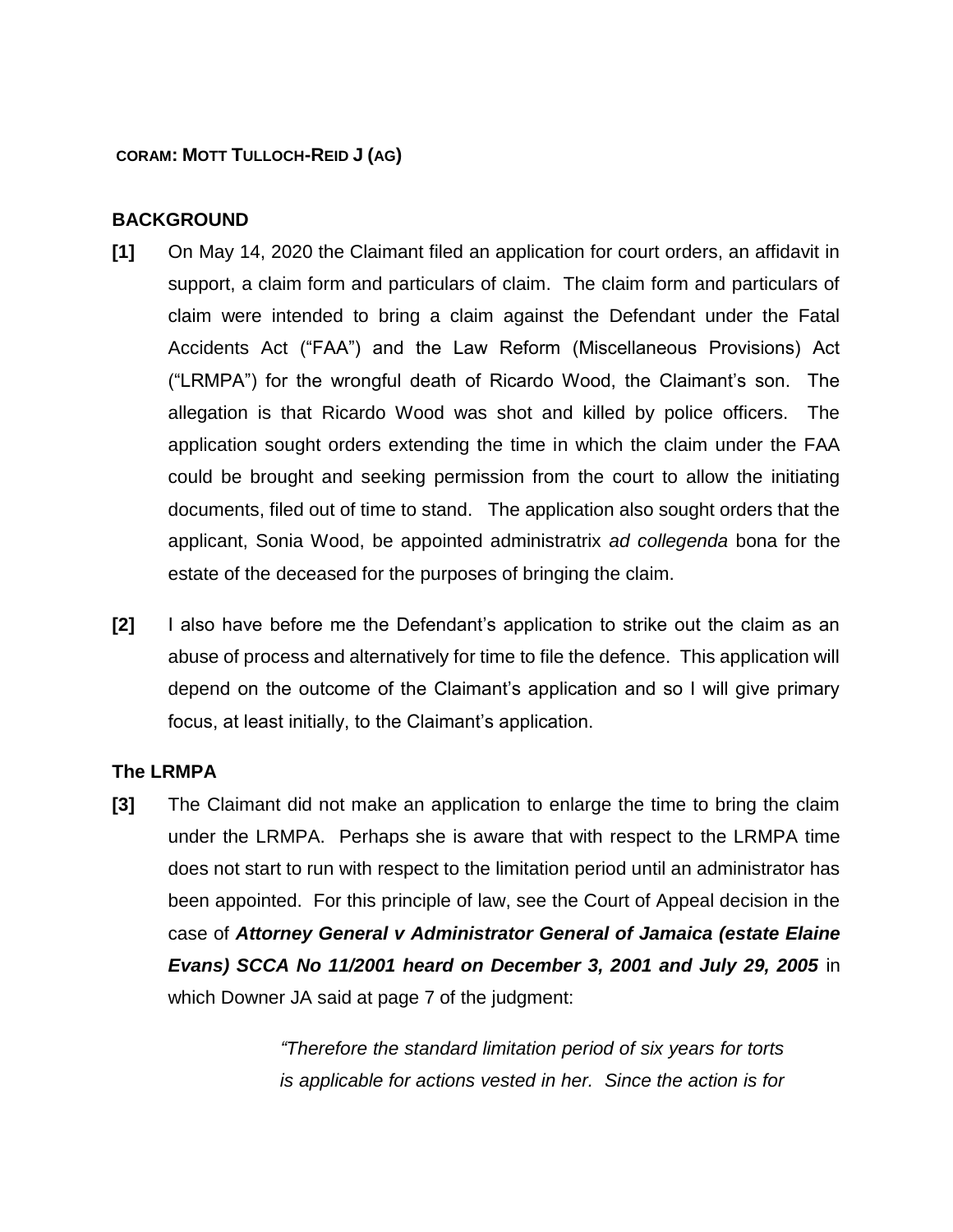## **CORAM: MOTT TULLOCH-REID J (AG)**

## **BACKGROUND**

- **[1]** On May 14, 2020 the Claimant filed an application for court orders, an affidavit in support, a claim form and particulars of claim. The claim form and particulars of claim were intended to bring a claim against the Defendant under the Fatal Accidents Act ("FAA") and the Law Reform (Miscellaneous Provisions) Act ("LRMPA") for the wrongful death of Ricardo Wood, the Claimant's son. The allegation is that Ricardo Wood was shot and killed by police officers. The application sought orders extending the time in which the claim under the FAA could be brought and seeking permission from the court to allow the initiating documents, filed out of time to stand. The application also sought orders that the applicant, Sonia Wood, be appointed administratrix *ad collegenda* bona for the estate of the deceased for the purposes of bringing the claim.
- **[2]** I also have before me the Defendant's application to strike out the claim as an abuse of process and alternatively for time to file the defence. This application will depend on the outcome of the Claimant's application and so I will give primary focus, at least initially, to the Claimant's application.

## **The LRMPA**

**[3]** The Claimant did not make an application to enlarge the time to bring the claim under the LRMPA. Perhaps she is aware that with respect to the LRMPA time does not start to run with respect to the limitation period until an administrator has been appointed. For this principle of law, see the Court of Appeal decision in the case of *Attorney General v Administrator General of Jamaica (estate Elaine Evans) SCCA No 11/2001 heard on December 3, 2001 and July 29, 2005* in which Downer JA said at page 7 of the judgment:

> *"Therefore the standard limitation period of six years for torts is applicable for actions vested in her. Since the action is for*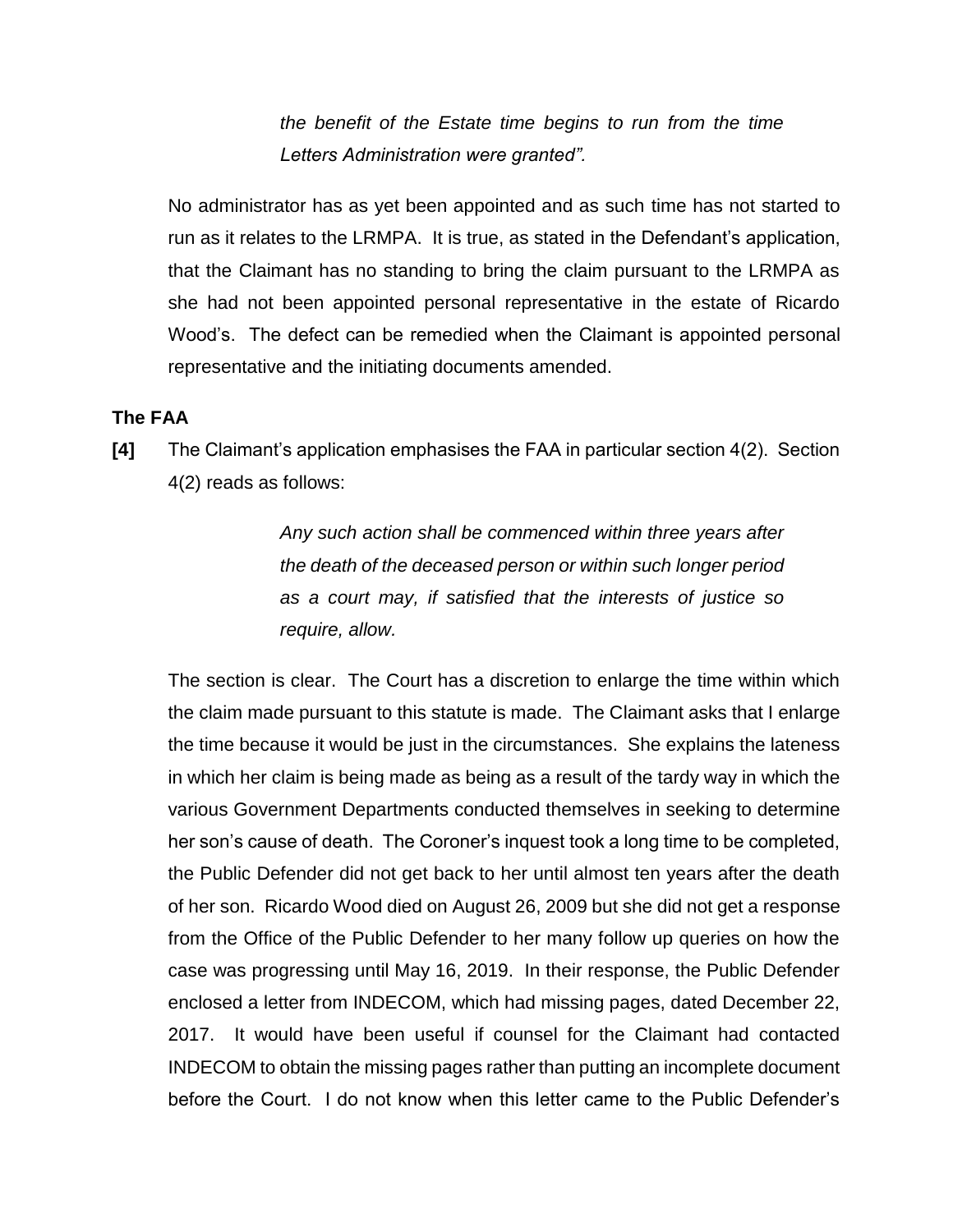*the benefit of the Estate time begins to run from the time Letters Administration were granted".* 

No administrator has as yet been appointed and as such time has not started to run as it relates to the LRMPA. It is true, as stated in the Defendant's application, that the Claimant has no standing to bring the claim pursuant to the LRMPA as she had not been appointed personal representative in the estate of Ricardo Wood's. The defect can be remedied when the Claimant is appointed personal representative and the initiating documents amended.

#### **The FAA**

**[4]** The Claimant's application emphasises the FAA in particular section 4(2). Section 4(2) reads as follows:

> *Any such action shall be commenced within three years after the death of the deceased person or within such longer period as a court may, if satisfied that the interests of justice so require, allow.*

The section is clear. The Court has a discretion to enlarge the time within which the claim made pursuant to this statute is made. The Claimant asks that I enlarge the time because it would be just in the circumstances. She explains the lateness in which her claim is being made as being as a result of the tardy way in which the various Government Departments conducted themselves in seeking to determine her son's cause of death. The Coroner's inquest took a long time to be completed, the Public Defender did not get back to her until almost ten years after the death of her son. Ricardo Wood died on August 26, 2009 but she did not get a response from the Office of the Public Defender to her many follow up queries on how the case was progressing until May 16, 2019. In their response, the Public Defender enclosed a letter from INDECOM, which had missing pages, dated December 22, 2017. It would have been useful if counsel for the Claimant had contacted INDECOM to obtain the missing pages rather than putting an incomplete document before the Court. I do not know when this letter came to the Public Defender's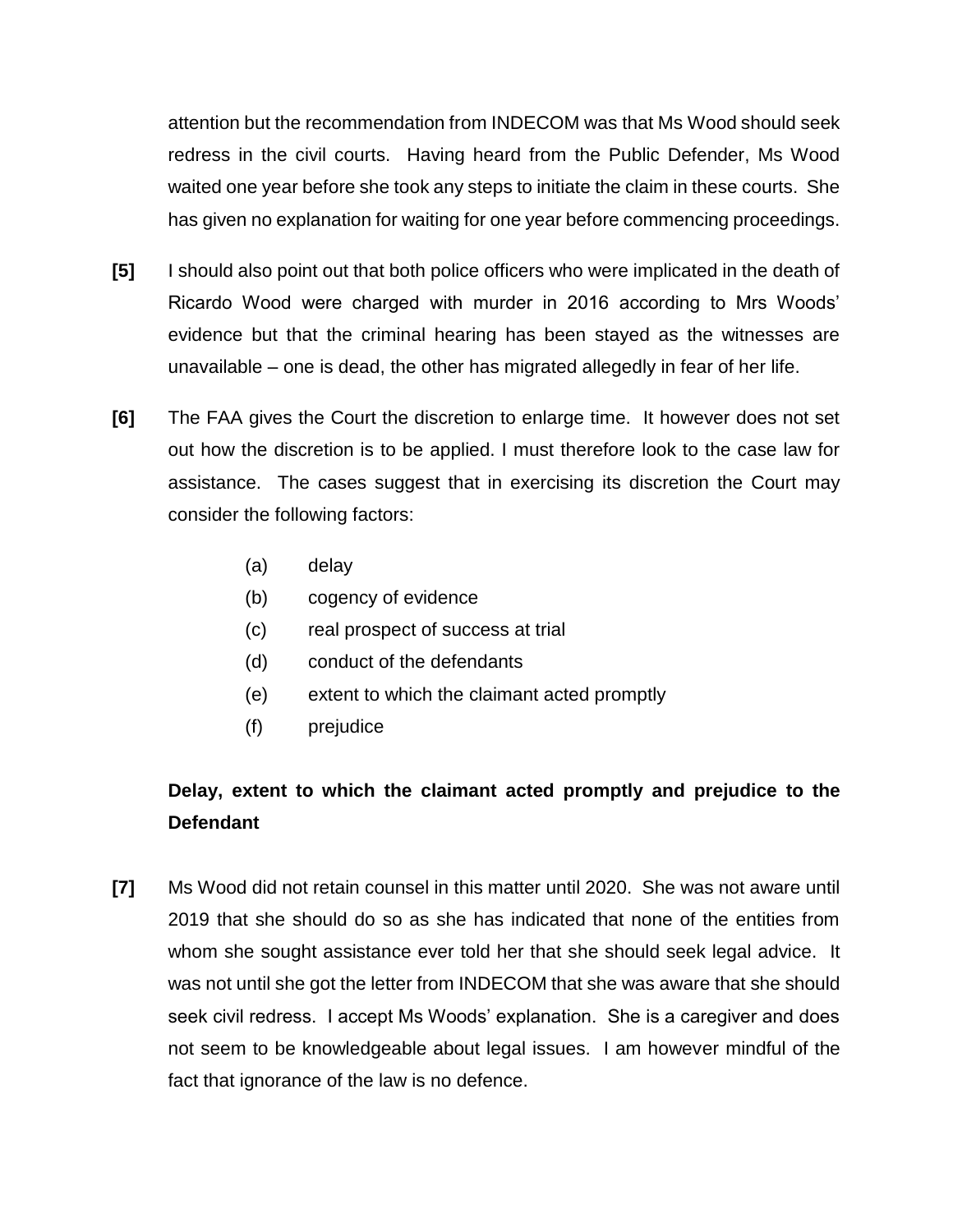attention but the recommendation from INDECOM was that Ms Wood should seek redress in the civil courts. Having heard from the Public Defender, Ms Wood waited one year before she took any steps to initiate the claim in these courts. She has given no explanation for waiting for one year before commencing proceedings.

- **[5]** I should also point out that both police officers who were implicated in the death of Ricardo Wood were charged with murder in 2016 according to Mrs Woods' evidence but that the criminal hearing has been stayed as the witnesses are unavailable – one is dead, the other has migrated allegedly in fear of her life.
- **[6]** The FAA gives the Court the discretion to enlarge time. It however does not set out how the discretion is to be applied. I must therefore look to the case law for assistance. The cases suggest that in exercising its discretion the Court may consider the following factors:
	- (a) delay
	- (b) cogency of evidence
	- (c) real prospect of success at trial
	- (d) conduct of the defendants
	- (e) extent to which the claimant acted promptly
	- (f) prejudice

# **Delay, extent to which the claimant acted promptly and prejudice to the Defendant**

**[7]** Ms Wood did not retain counsel in this matter until 2020. She was not aware until 2019 that she should do so as she has indicated that none of the entities from whom she sought assistance ever told her that she should seek legal advice. It was not until she got the letter from INDECOM that she was aware that she should seek civil redress. I accept Ms Woods' explanation. She is a caregiver and does not seem to be knowledgeable about legal issues. I am however mindful of the fact that ignorance of the law is no defence.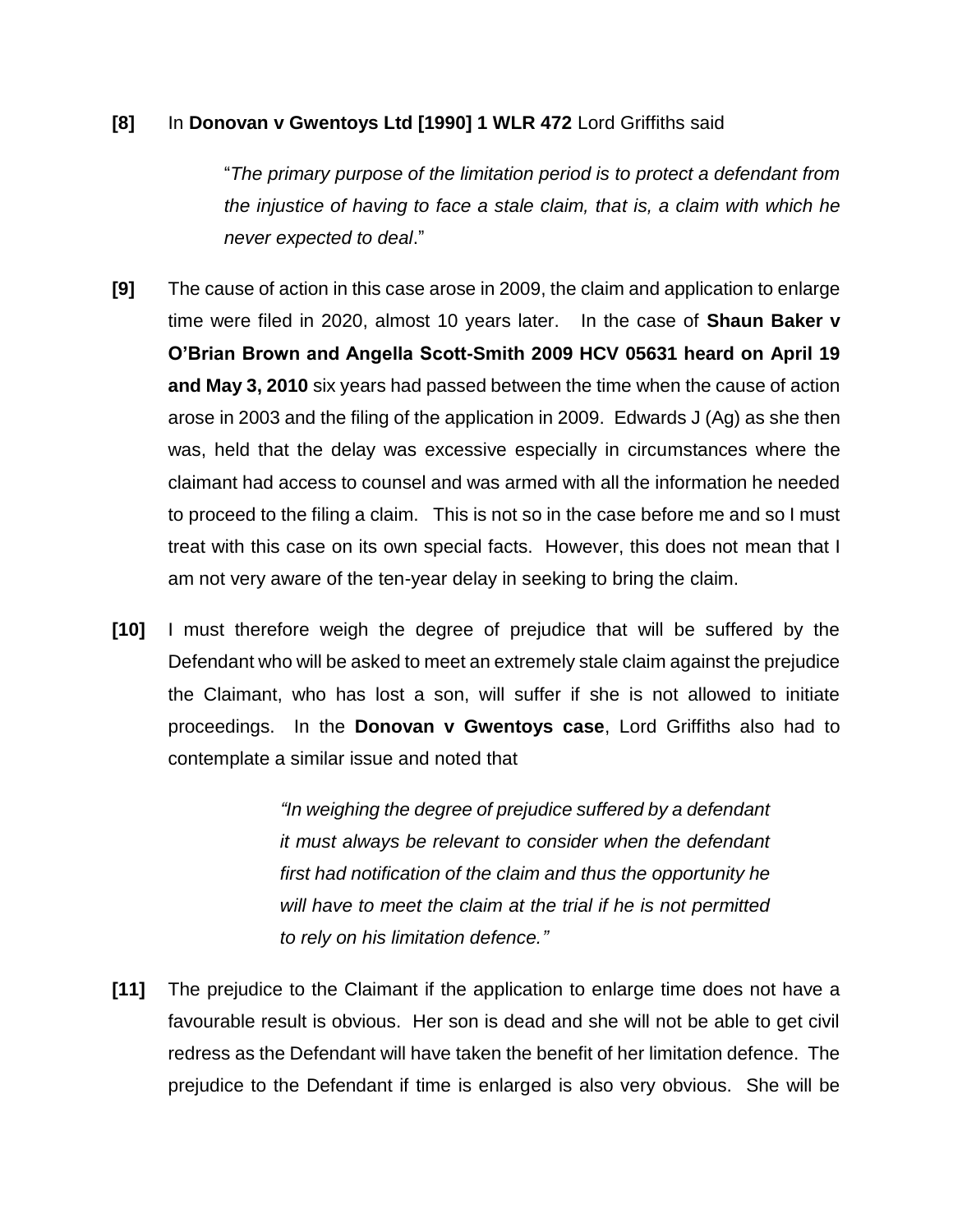### **[8]** In **Donovan v Gwentoys Ltd [1990] 1 WLR 472** Lord Griffiths said

"*The primary purpose of the limitation period is to protect a defendant from the injustice of having to face a stale claim, that is, a claim with which he never expected to deal*."

- **[9]** The cause of action in this case arose in 2009, the claim and application to enlarge time were filed in 2020, almost 10 years later. In the case of **Shaun Baker v O'Brian Brown and Angella Scott-Smith 2009 HCV 05631 heard on April 19 and May 3, 2010** six years had passed between the time when the cause of action arose in 2003 and the filing of the application in 2009. Edwards J (Ag) as she then was, held that the delay was excessive especially in circumstances where the claimant had access to counsel and was armed with all the information he needed to proceed to the filing a claim. This is not so in the case before me and so I must treat with this case on its own special facts. However, this does not mean that I am not very aware of the ten-year delay in seeking to bring the claim.
- **[10]** I must therefore weigh the degree of prejudice that will be suffered by the Defendant who will be asked to meet an extremely stale claim against the prejudice the Claimant, who has lost a son, will suffer if she is not allowed to initiate proceedings. In the **Donovan v Gwentoys case**, Lord Griffiths also had to contemplate a similar issue and noted that

*"In weighing the degree of prejudice suffered by a defendant it must always be relevant to consider when the defendant first had notification of the claim and thus the opportunity he will have to meet the claim at the trial if he is not permitted to rely on his limitation defence."*

**[11]** The prejudice to the Claimant if the application to enlarge time does not have a favourable result is obvious. Her son is dead and she will not be able to get civil redress as the Defendant will have taken the benefit of her limitation defence. The prejudice to the Defendant if time is enlarged is also very obvious. She will be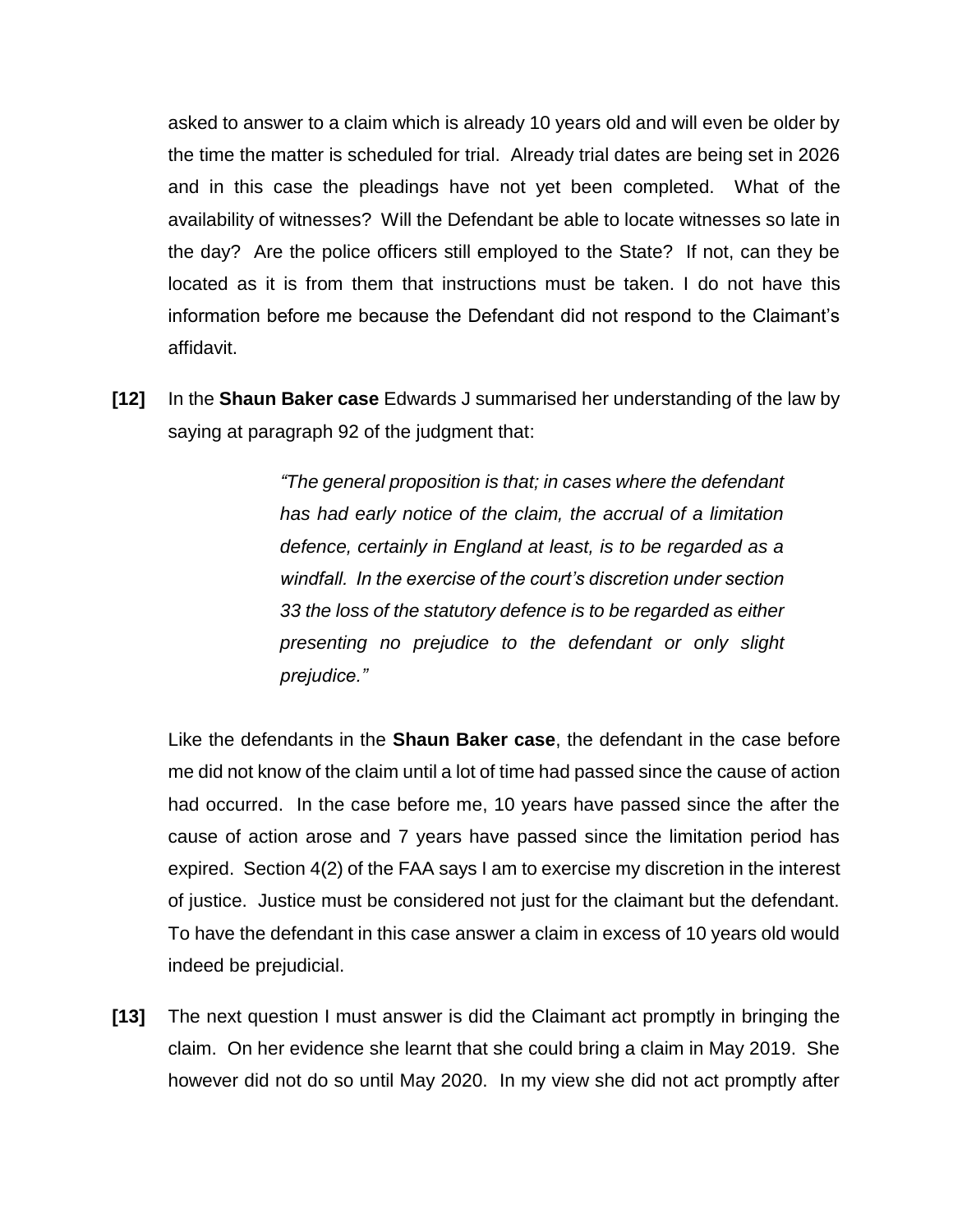asked to answer to a claim which is already 10 years old and will even be older by the time the matter is scheduled for trial. Already trial dates are being set in 2026 and in this case the pleadings have not yet been completed. What of the availability of witnesses? Will the Defendant be able to locate witnesses so late in the day? Are the police officers still employed to the State? If not, can they be located as it is from them that instructions must be taken. I do not have this information before me because the Defendant did not respond to the Claimant's affidavit.

**[12]** In the **Shaun Baker case** Edwards J summarised her understanding of the law by saying at paragraph 92 of the judgment that:

> *"The general proposition is that; in cases where the defendant has had early notice of the claim, the accrual of a limitation defence, certainly in England at least, is to be regarded as a windfall. In the exercise of the court's discretion under section 33 the loss of the statutory defence is to be regarded as either presenting no prejudice to the defendant or only slight prejudice."*

Like the defendants in the **Shaun Baker case**, the defendant in the case before me did not know of the claim until a lot of time had passed since the cause of action had occurred. In the case before me, 10 years have passed since the after the cause of action arose and 7 years have passed since the limitation period has expired. Section 4(2) of the FAA says I am to exercise my discretion in the interest of justice. Justice must be considered not just for the claimant but the defendant. To have the defendant in this case answer a claim in excess of 10 years old would indeed be prejudicial.

**[13]** The next question I must answer is did the Claimant act promptly in bringing the claim. On her evidence she learnt that she could bring a claim in May 2019. She however did not do so until May 2020. In my view she did not act promptly after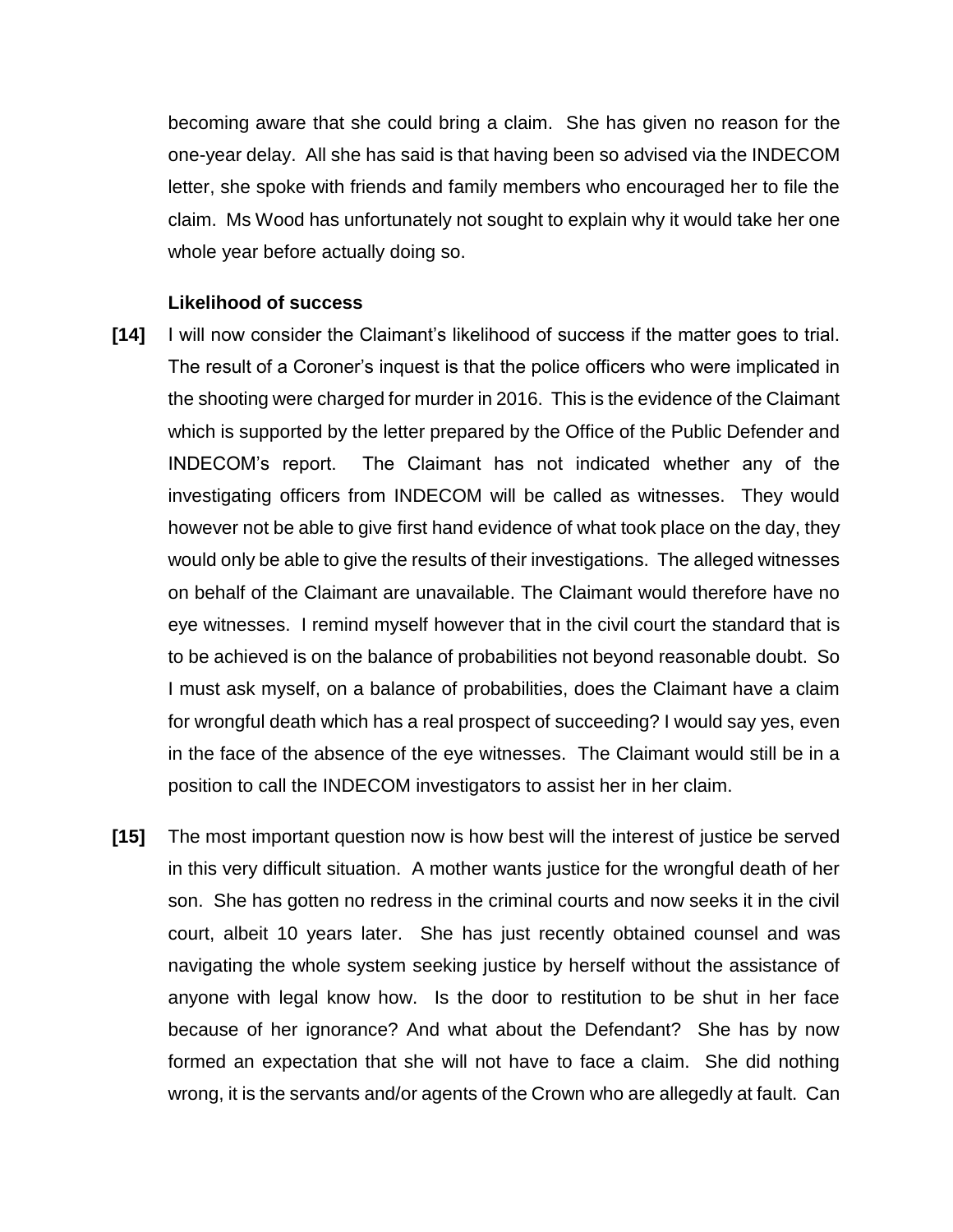becoming aware that she could bring a claim. She has given no reason for the one-year delay. All she has said is that having been so advised via the INDECOM letter, she spoke with friends and family members who encouraged her to file the claim. Ms Wood has unfortunately not sought to explain why it would take her one whole year before actually doing so.

#### **Likelihood of success**

- **[14]** I will now consider the Claimant's likelihood of success if the matter goes to trial. The result of a Coroner's inquest is that the police officers who were implicated in the shooting were charged for murder in 2016. This is the evidence of the Claimant which is supported by the letter prepared by the Office of the Public Defender and INDECOM's report. The Claimant has not indicated whether any of the investigating officers from INDECOM will be called as witnesses. They would however not be able to give first hand evidence of what took place on the day, they would only be able to give the results of their investigations. The alleged witnesses on behalf of the Claimant are unavailable. The Claimant would therefore have no eye witnesses. I remind myself however that in the civil court the standard that is to be achieved is on the balance of probabilities not beyond reasonable doubt. So I must ask myself, on a balance of probabilities, does the Claimant have a claim for wrongful death which has a real prospect of succeeding? I would say yes, even in the face of the absence of the eye witnesses. The Claimant would still be in a position to call the INDECOM investigators to assist her in her claim.
- **[15]** The most important question now is how best will the interest of justice be served in this very difficult situation. A mother wants justice for the wrongful death of her son. She has gotten no redress in the criminal courts and now seeks it in the civil court, albeit 10 years later. She has just recently obtained counsel and was navigating the whole system seeking justice by herself without the assistance of anyone with legal know how. Is the door to restitution to be shut in her face because of her ignorance? And what about the Defendant? She has by now formed an expectation that she will not have to face a claim. She did nothing wrong, it is the servants and/or agents of the Crown who are allegedly at fault. Can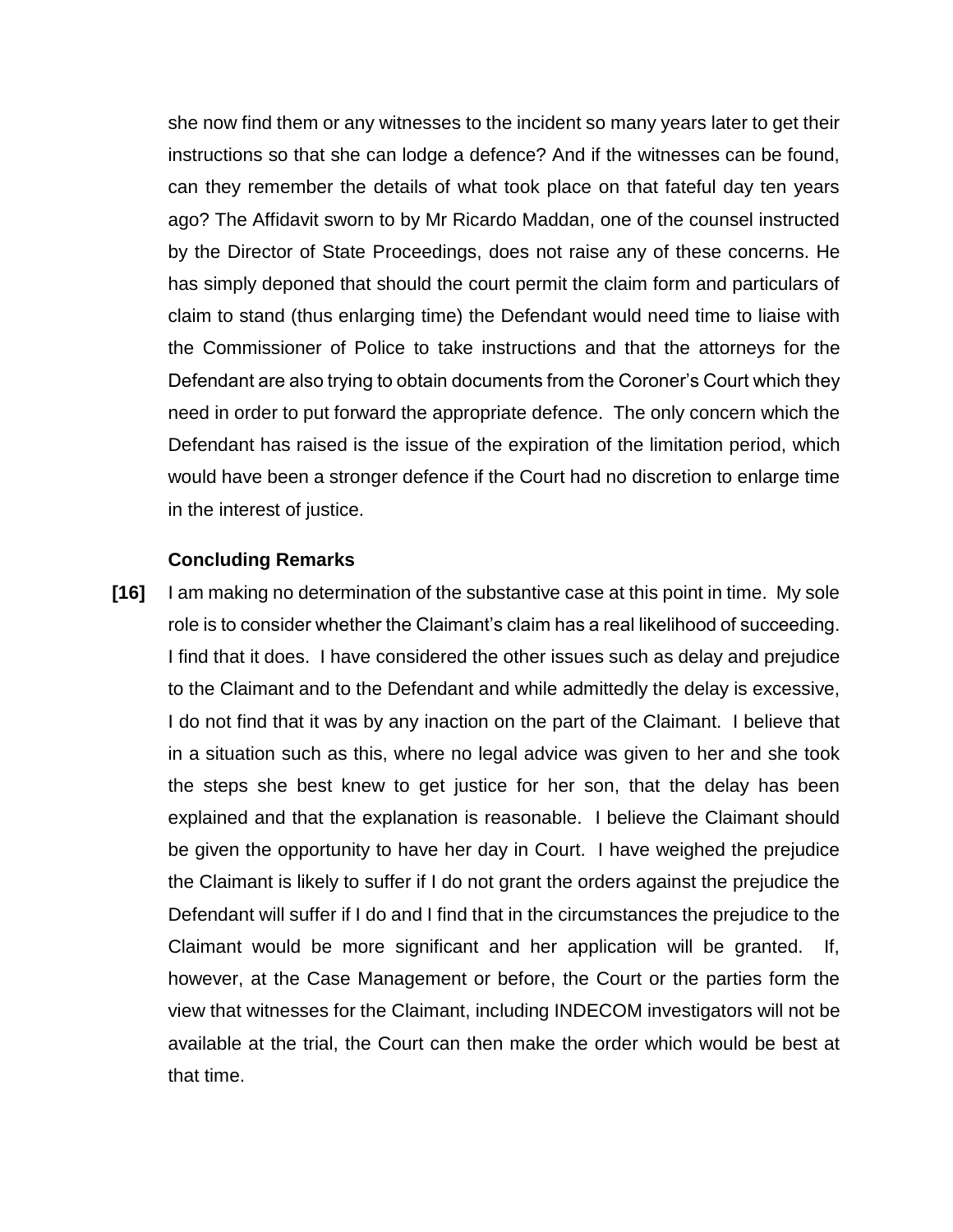she now find them or any witnesses to the incident so many years later to get their instructions so that she can lodge a defence? And if the witnesses can be found, can they remember the details of what took place on that fateful day ten years ago? The Affidavit sworn to by Mr Ricardo Maddan, one of the counsel instructed by the Director of State Proceedings, does not raise any of these concerns. He has simply deponed that should the court permit the claim form and particulars of claim to stand (thus enlarging time) the Defendant would need time to liaise with the Commissioner of Police to take instructions and that the attorneys for the Defendant are also trying to obtain documents from the Coroner's Court which they need in order to put forward the appropriate defence. The only concern which the Defendant has raised is the issue of the expiration of the limitation period, which would have been a stronger defence if the Court had no discretion to enlarge time in the interest of justice.

#### **Concluding Remarks**

**[16]** I am making no determination of the substantive case at this point in time. My sole role is to consider whether the Claimant's claim has a real likelihood of succeeding. I find that it does. I have considered the other issues such as delay and prejudice to the Claimant and to the Defendant and while admittedly the delay is excessive, I do not find that it was by any inaction on the part of the Claimant. I believe that in a situation such as this, where no legal advice was given to her and she took the steps she best knew to get justice for her son, that the delay has been explained and that the explanation is reasonable. I believe the Claimant should be given the opportunity to have her day in Court. I have weighed the prejudice the Claimant is likely to suffer if I do not grant the orders against the prejudice the Defendant will suffer if I do and I find that in the circumstances the prejudice to the Claimant would be more significant and her application will be granted. If, however, at the Case Management or before, the Court or the parties form the view that witnesses for the Claimant, including INDECOM investigators will not be available at the trial, the Court can then make the order which would be best at that time.